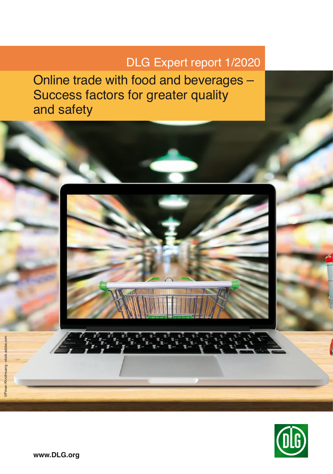# DLG Expert report 1/2020

Online trade with food and beverages – Success factors for greater quality and safety



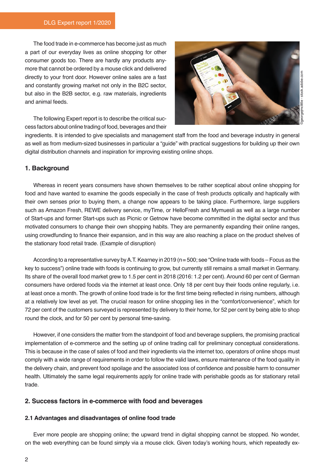The food trade in e-commerce has become just as much a part of our everyday lives as online shopping for other consumer goods too. There are hardly any products anymore that cannot be ordered by a mouse click and delivered directly to your front door. However online sales are a fast and constantly growing market not only in the B2C sector, but also in the B2B sector, e.g. raw materials, ingredients and animal feeds.



The following Expert report is to describe the critical success factors about online trading of food, beverages and their

ingredients. It is intended to give specialists and management staff from the food and beverage industry in general as well as from medium-sized businesses in particular a "guide" with practical suggestions for building up their own digital distribution channels and inspiration for improving existing online shops.

## **1. Background**

Whereas in recent years consumers have shown themselves to be rather sceptical about online shopping for food and have wanted to examine the goods especially in the case of fresh products optically and haptically with their own senses prior to buying them, a change now appears to be taking place. Furthermore, large suppliers such as Amazon Fresh, REWE delivery service, myTime, or HelloFresh and Mymuesli as well as a large number of Start-ups and former Start-ups such as Picnic or Getnow have become committed in the digital sector and thus motivated consumers to change their own shopping habits. They are permanently expanding their online ranges, using crowdfunding to finance their expansion, and in this way are also reaching a place on the product shelves of the stationary food retail trade. (Example of disruption)

According to a representative survey by A.T. Kearney in 2019 (n= 500; see "Online trade with foods – Focus as the key to success") online trade with foods is continuing to grow, but currently still remains a small market in Germany. Its share of the overall food market grew to 1.5 per cent in 2018 (2016: 1.2 per cent). Around 60 per cent of German consumers have ordered foods via the internet at least once. Only 18 per cent buy their foods online regularly, i.e. at least once a month. The growth of online food trade is for the first time being reflected in rising numbers, although at a relatively low level as yet. The crucial reason for online shopping lies in the "comfort/convenience", which for 72 per cent of the customers surveyed is represented by delivery to their home, for 52 per cent by being able to shop round the clock, and for 50 per cent by personal time-saving.

However, if one considers the matter from the standpoint of food and beverage suppliers, the promising practical implementation of e-commerce and the setting up of online trading call for preliminary conceptual considerations. This is because in the case of sales of food and their ingredients via the internet too, operators of online shops must comply with a wide range of requirements in order to follow the valid laws, ensure maintenance of the food quality in the delivery chain, and prevent food spoilage and the associated loss of confidence and possible harm to consumer health. Ultimately the same legal requirements apply for online trade with perishable goods as for stationary retail trade.

## **2. Success factors in e-commerce with food and beverages**

#### **2.1 Advantages and disadvantages of online food trade**

Ever more people are shopping online; the upward trend in digital shopping cannot be stopped. No wonder, on the web everything can be found simply via a mouse click. Given today's working hours, which repeatedly ex-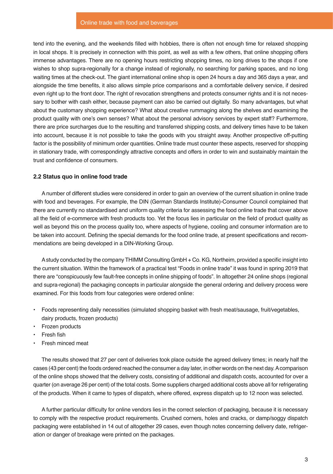#### Online trade with food and beverages

tend into the evening, and the weekends filled with hobbies, there is often not enough time for relaxed shopping in local shops. It is precisely in connection with this point, as well as with a few others, that online shopping offers immense advantages. There are no opening hours restricting shopping times, no long drives to the shops if one wishes to shop supra-regionally for a change instead of regionally, no searching for parking spaces, and no long waiting times at the check-out. The giant international online shop is open 24 hours a day and 365 days a year, and alongside the time benefits, it also allows simple price comparisons and a comfortable delivery service, if desired even right up to the front door. The right of revocation strengthens and protects consumer rights and it is not necessary to bother with cash either, because payment can also be carried out digitally. So many advantages, but what about the customary shopping experience? What about creative rummaging along the shelves and examining the product quality with one's own senses? What about the personal advisory services by expert staff? Furthermore, there are price surcharges due to the resulting and transferred shipping costs, and delivery times have to be taken into account, because it is not possible to take the goods with you straight away. Another prospective off-putting factor is the possibility of minimum order quantities. Online trade must counter these aspects, reserved for shopping in stationary trade, with correspondingly attractive concepts and offers in order to win and sustainably maintain the trust and confidence of consumers.

#### **2.2 Status quo in online food trade**

A number of different studies were considered in order to gain an overview of the current situation in online trade with food and beverages. For example, the DIN (German Standards Institute)-Consumer Council complained that there are currently no standardised and uniform quality criteria for assessing the food online trade that cover above all the field of e-commerce with fresh products too. Yet the focus lies in particular on the field of product quality as well as beyond this on the process quality too, where aspects of hygiene, cooling and consumer information are to be taken into account. Defining the special demands for the food online trade, at present specifications and recommendations are being developed in a DIN-Working Group.

A study conducted by the company THIMM Consulting GmbH + Co. KG, Northeim, provided a specific insight into the current situation. Within the framework of a practical test "Foods in online trade" it was found in spring 2019 that there are "conspicuously few fault-free concepts in online shipping of foods". In altogether 24 online shops (regional and supra-regional) the packaging concepts in particular alongside the general ordering and delivery process were examined. For this foods from four categories were ordered online:

- Foods representing daily necessities (simulated shopping basket with fresh meat/sausage, fruit/vegetables, dairy products, frozen products)
- Frozen products
- **Fresh fish**
- Fresh minced meat

The results showed that 27 per cent of deliveries took place outside the agreed delivery times; in nearly half the cases (43 per cent) the foods ordered reached the consumer a day later, in other words on the next day. A comparison of the online shops showed that the delivery costs, consisting of additional and dispatch costs, accounted for over a quarter (on average 26 per cent) of the total costs. Some suppliers charged additional costs above all for refrigerating of the products. When it came to types of dispatch, where offered, express dispatch up to 12 noon was selected.

A further particular difficulty for online vendors lies in the correct selection of packaging, because it is necessary to comply with the respective product requirements. Crushed corners, holes and cracks, or damp/soggy dispatch packaging were established in 14 out of altogether 29 cases, even though notes concerning delivery date, refrigeration or danger of breakage were printed on the packages.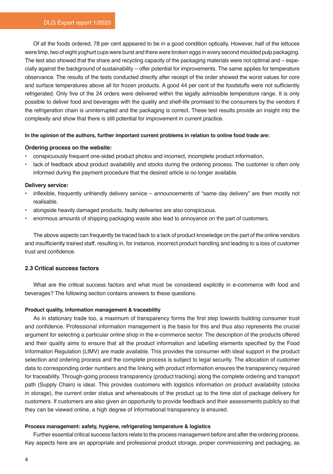Of all the foods ordered, 78 per cent appeared to be in a good condition optically. However, half of the lettuces were limp, two of eight yoghurt cups were burst and there were broken eggs in every second moulded pulp packaging. The test also showed that the share and recycling capacity of the packaging materials were not optimal and – especially against the background of sustainability – offer potential for improvements. The same applies for temperature observance. The results of the tests conducted directly after receipt of the order showed the worst values for core and surface temperatures above all for frozen products. A good 44 per cent of the foodstuffs were not sufficiently refrigerated. Only five of the 24 orders were delivered within the legally admissible temperature range. It is only possible to deliver food and beverages with the quality and shelf-life promised to the consumers by the vendors if the refrigeration chain is uninterrupted and the packaging is correct. These test results provide an insight into the complexity and show that there is still potential for improvement in current practice.

#### **In the opinion of the authors, further important current problems in relation to online food trade are:**

#### **Ordering process on the website:**

- conspicuously frequent one-sided product photos and incorrect, incomplete product information,
- lack of feedback about product availability and stocks during the ordering process. The customer is often only informed during the payment procedure that the desired article is no longer available.

## **Delivery service:**

- inflexible, frequently unfriendly delivery service announcements of "same day delivery" are then mostly not realisable.
- alongside heavily damaged products, faulty deliveries are also conspicuous.
- enormous amounts of shipping packaging waste also lead to annoyance on the part of customers.

The above aspects can frequently be traced back to a lack of product knowledge on the part of the online vendors and insufficiently trained staff, resulting in, for instance, incorrect product handling and leading to a loss of customer trust and confidence.

## **2.3 Critical success factors**

What are the critical success factors and what must be considered explicitly in e-commerce with food and beverages? The following section contains answers to these questions.

#### **Product quality, information management & traceability**

As in stationary trade too, a maximum of transparency forms the first step towards building consumer trust and confidence. Professional information management is the basis for this and thus also represents the crucial argument for selecting a particular online shop in the e-commerce sector. The description of the products offered and their quality aims to ensure that all the product information and labelling elements specified by the Food Information Regulation (LIMV) are made available. This provides the consumer with ideal support in the product selection and ordering process and the complete process is subject to legal security. The allocation of customer data to corresponding order numbers and the linking with product information ensures the transparency required for traceability. Through-going process transparency (product tracking) along the complete ordering and transport path (Supply Chain) is ideal. This provides customers with logistics information on product availability (stocks in storage), the current order status and whereabouts of the product up to the time slot of package delivery for customers. If customers are also given an opportunity to provide feedback and their assessments publicly so that they can be viewed online, a high degree of informational transparency is ensured.

#### **Process management: safety, hygiene, refrigerating temperature & logistics**

Further essential critical success factors relate to the process management before and after the ordering process. Key aspects here are an appropriate and professional product storage, proper commissioning and packaging, as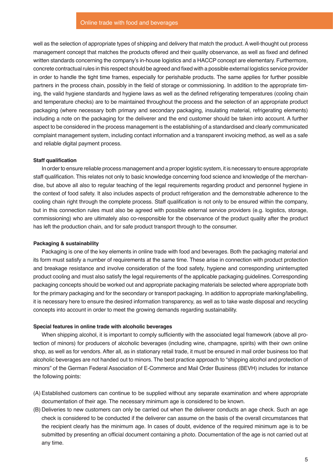well as the selection of appropriate types of shipping and delivery that match the product. A well-thought out process management concept that matches the products offered and their quality observance, as well as fixed and defined written standards concerning the company's in-house logistics and a HACCP concept are elementary. Furthermore, concrete contractual rules in this respect should be agreed and fixed with a possible external logistics service provider in order to handle the tight time frames, especially for perishable products. The same applies for further possible partners in the process chain, possibly in the field of storage or commissioning. In addition to the appropriate timing, the valid hygiene standards and hygiene laws as well as the defined refrigerating temperatures (cooling chain and temperature checks) are to be maintained throughout the process and the selection of an appropriate product packaging (where necessary both primary and secondary packaging, insulating material, refrigerating elements) including a note on the packaging for the deliverer and the end customer should be taken into account. A further aspect to be considered in the process management is the establishing of a standardised and clearly communicated complaint management system, including contact information and a transparent invoicing method, as well as a safe and reliable digital payment process.

#### **Staff qualification**

In order to ensure reliable process management and a proper logistic system, it is necessary to ensure appropriate staff qualification. This relates not only to basic knowledge concerning food science and knowledge of the merchandise, but above all also to regular teaching of the legal requirements regarding product and personnel hygiene in the context of food safety. It also includes aspects of product refrigeration and the demonstrable adherence to the cooling chain right through the complete process. Staff qualification is not only to be ensured within the company, but in this connection rules must also be agreed with possible external service providers (e.g. logistics, storage, commissioning) who are ultimately also co-responsible for the observance of the product quality after the product has left the production chain, and for safe product transport through to the consumer.

#### **Packaging & sustainability**

Packaging is one of the key elements in online trade with food and beverages. Both the packaging material and its form must satisfy a number of requirements at the same time. These arise in connection with product protection and breakage resistance and involve consideration of the food safety, hygiene and corresponding uninterrupted product cooling and must also satisfy the legal requirements of the applicable packaging guidelines. Corresponding packaging concepts should be worked out and appropriate packaging materials be selected where appropriate both for the primary packaging and for the secondary or transport packaging. In addition to appropriate marking/labelling, it is necessary here to ensure the desired information transparency, as well as to take waste disposal and recycling concepts into account in order to meet the growing demands regarding sustainability.

#### **Special features in online trade with alcoholic beverages**

When shipping alcohol, it is important to comply sufficiently with the associated legal framework (above all protection of minors) for producers of alcoholic beverages (including wine, champagne, spirits) with their own online shop, as well as for vendors. After all, as in stationary retail trade, it must be ensured in mail order business too that alcoholic beverages are not handed out to minors. The best practice approach to "shipping alcohol and protection of minors" of the German Federal Association of E-Commerce and Mail Order Business (BEVH) includes for instance the following points:

- (A) Established customers can continue to be supplied without any separate examination and where appropriate documentation of their age. The necessary minimum age is considered to be known.
- (B) Deliveries to new customers can only be carried out when the deliverer conducts an age check. Such an age check is considered to be conducted if the deliverer can assume on the basis of the overall circumstances that the recipient clearly has the minimum age. In cases of doubt, evidence of the required minimum age is to be submitted by presenting an official document containing a photo. Documentation of the age is not carried out at any time.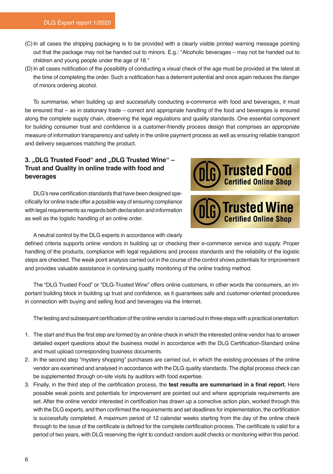- (C)In all cases the shipping packaging is to be provided with a clearly visible printed warning message pointing out that the package may not be handed out to minors. E.g.: "Alcoholic beverages – may not be handed out to children and young people under the age of 18."
- (D)In all cases notification of the possibility of conducting a visual check of the age must be provided at the latest at the time of completing the order. Such a notification has a deterrent potential and once again reduces the danger of minors ordering alcohol.

To summarise, when building up and successfully conducting e-commerce with food and beverages, it must be ensured that – as in stationary trade – correct and appropriate handling of the food and beverages is ensured along the complete supply chain, observing the legal regulations and quality standards. One essential component for building consumer trust and confidence is a customer-friendly process design that comprises an appropriate measure of information transparency and safety in the online payment process as well as ensuring reliable transport and delivery sequences matching the product.

## 3. "DLG Trusted Food" and "DLG Trusted Wine" -**Trust and Quality in online trade with food and beverages**

DLG's new certification standards that have been designed specifically for online trade offer a possible way of ensuring compliance with legal requirements as regards both declaration and information as well as the logistic handling of an online order.



A neutral control by the DLG experts in accordance with clearly

defined criteria supports online vendors in building up or checking their e-commerce service and supply. Proper handling of the products, compliance with legal regulations and process standards and the reliability of the logistic steps are checked. The weak point analysis carried out in the course of the control shows potentials for improvement and provides valuable assistance in continuing quality monitoring of the online trading method.

The "DLG Trusted Food" or "DLG-Trusted Wine" offers online customers, in other words the consumers, an important building block in building up trust and confidence, as it guarantees safe and customer-oriented procedures in connection with buying and selling food and beverages via the Internet.

The testing and subsequent certification of the online vendor is carried out in three steps with a practical orientation:

- 1. The start and thus the first step are formed by an online check in which the interested online vendor has to answer detailed expert questions about the business model in accordance with the DLG Certification-Standard online and must upload corresponding business documents.
- 2. In the second step "mystery shopping" purchases are carried out, in which the existing processes of the online vendor are examined and analysed in accordance with the DLG quality standards. The digital process check can be supplemented through on-site visits by auditors with food expertise.
- 3. Finally, in the third step of the certification process, the **test results are summarised in a final report.** Here possible weak points and potentials for improvement are pointed out and where appropriate requirements are set. After the online vendor interested in certification has drawn up a corrective action plan, worked through this with the DLG experts, and then confirmed the requirements and set deadlines for implementation, the certification is successfully completed. A maximum period of 12 calendar weeks starting from the day of the online check through to the issue of the certificate is defined for the complete certification process. The certificate is valid for a period of two years, with DLG reserving the right to conduct random audit checks or monitoring within this period.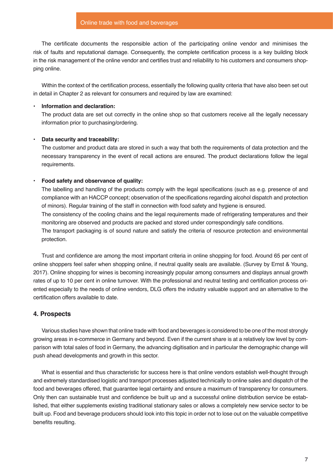The certificate documents the responsible action of the participating online vendor and minimises the risk of faults and reputational damage. Consequently, the complete certification process is a key building block in the risk management of the online vendor and certifies trust and reliability to his customers and consumers shopping online.

Within the context of the certification process, essentially the following quality criteria that have also been set out in detail in Chapter 2 as relevant for consumers and required by law are examined:

## • **Information and declaration:**

The product data are set out correctly in the online shop so that customers receive all the legally necessary information prior to purchasing/ordering.

## • **Data security and traceability:**

The customer and product data are stored in such a way that both the requirements of data protection and the necessary transparency in the event of recall actions are ensured. The product declarations follow the legal requirements.

#### • **Food safety and observance of quality:**

The labelling and handling of the products comply with the legal specifications (such as e.g. presence of and compliance with an HACCP concept; observation of the specifications regarding alcohol dispatch and protection of minors). Regular training of the staff in connection with food safety and hygiene is ensured. The consistency of the cooling chains and the legal requirements made of refrigerating temperatures and their monitoring are observed and products are packed and stored under correspondingly safe conditions.

The transport packaging is of sound nature and satisfy the criteria of resource protection and environmental protection.

Trust and confidence are among the most important criteria in online shopping for food. Around 65 per cent of online shoppers feel safer when shopping online, if neutral quality seals are available. (Survey by Ernst & Young, 2017). Online shopping for wines is becoming increasingly popular among consumers and displays annual growth rates of up to 10 per cent in online turnover. With the professional and neutral testing and certification process oriented especially to the needs of online vendors, DLG offers the industry valuable support and an alternative to the certification offers available to date.

## **4. Prospects**

Various studies have shown that online trade with food and beverages is considered to be one of the most strongly growing areas in e-commerce in Germany and beyond. Even if the current share is at a relatively low level by comparison with total sales of food in Germany, the advancing digitisation and in particular the demographic change will push ahead developments and growth in this sector.

What is essential and thus characteristic for success here is that online vendors establish well-thought through and extremely standardised logistic and transport processes adjusted technically to online sales and dispatch of the food and beverages offered, that guarantee legal certainty and ensure a maximum of transparency for consumers. Only then can sustainable trust and confidence be built up and a successful online distribution service be established, that either supplements existing traditional stationary sales or allows a completely new service sector to be built up. Food and beverage producers should look into this topic in order not to lose out on the valuable competitive benefits resulting.